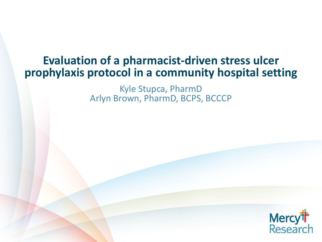#### **Evaluation of a pharmacist-driven stress ulcer prophylaxis protocol in a community hospital setting**

Kyle Stupca, PharmD Arlyn Brown, PharmD, BCPS, BCCCP

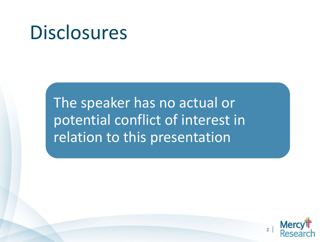### **Disclosures**

The speaker has no actual or potential conflict of interest in relation to this presentation

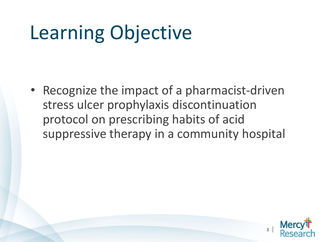## Learning Objective

• Recognize the impact of a pharmacist-driven stress ulcer prophylaxis discontinuation protocol on prescribing habits of acid suppressive therapy in a community hospital

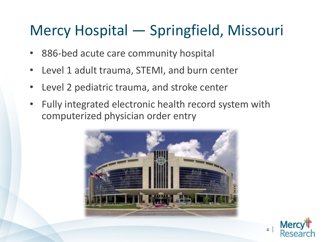### Mercy Hospital — Springfield, Missouri

- 886-bed acute care community hospital
- Level 1 adult trauma, STEMI, and burn center
- Level 2 pediatric trauma, and stroke center
- Fully integrated electronic health record system with computerized physician order entry



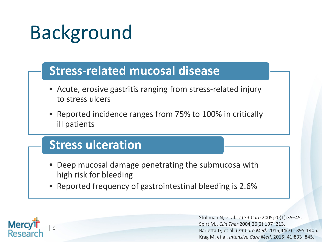#### **Stress-related mucosal disease**

- Acute, erosive gastritis ranging from stress-related injury to stress ulcers
- Reported incidence ranges from 75% to 100% in critically ill patients

#### **Stress ulceration**

 $\overline{5}$ 

**Mercy** 

- Deep mucosal damage penetrating the submucosa with high risk for bleeding
- Reported frequency of gastrointestinal bleeding is 2.6%

Stollman N, et al. *J Crit Care* 2005;20(1):35–45. Spirt MJ. *Clin Ther* 2004;26(2):197–213. Barletta JF, et al. *Crit Care Med.* 2016;44(7):1395-1405. Krag M, et al. *Intensive Care Med*. 2015; 41:833–845.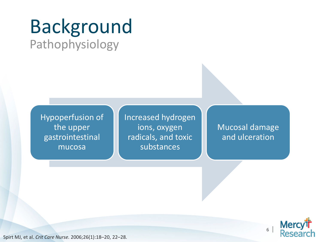### Background Pathophysiology

Hypoperfusion of the upper gastrointestinal mucosa

Increased hydrogen ions, oxygen radicals, and toxic substances

Mucosal damage and ulceration



Spirt MJ, et al. *Crit Care Nurse.* 2006;26(1):18–20, 22–28.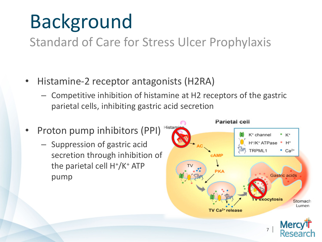Standard of Care for Stress Ulcer Prophylaxis

- Histamine-2 receptor antagonists (H2RA)
	- Competitive inhibition of histamine at H2 receptors of the gastric parietal cells, inhibiting gastric acid secretion
- Proton pump inhibitors (PPI)
	- Suppression of gastric acid secretion through inhibition of the parietal cell  $H^*/K^+$  ATP pump

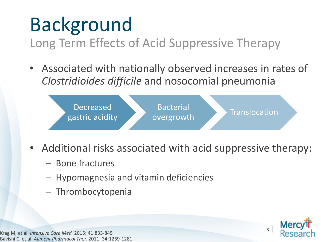Long Term Effects of Acid Suppressive Therapy

• Associated with nationally observed increases in rates of *Clostridioides difficile* and nosocomial pneumonia



- Additional risks associated with acid suppressive therapy:
	- Bone fractures
	- Hypomagnesia and vitamin deficiencies
	- Thrombocytopenia



Krag M, et al. *Intensive Care Med.* 2015; 41:833-845 Bavishi C, et al. *Aliment Pharmacol Ther.* 2011; 34:1269-1281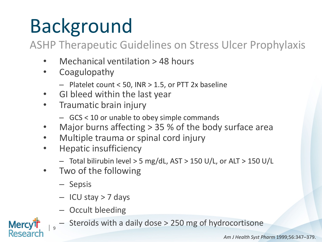ASHP Therapeutic Guidelines on Stress Ulcer Prophylaxis

- Mechanical ventilation > 48 hours
- Coagulopathy
	- Platelet count < 50, INR > 1.5, or PTT 2x baseline
- GI bleed within the last year
- Traumatic brain injury
	- GCS < 10 or unable to obey simple commands
- Major burns affecting  $> 35$  % of the body surface area
- Multiple trauma or spinal cord injury
- Hepatic insufficiency
	- Total bilirubin level > 5 mg/dL, AST > 150 U/L, or ALT > 150 U/L
- Two of the following
	- Sepsis

| <sup>9</sup>

- ICU stay > 7 days
- Occult bleeding
- Steroids with a daily dose > 250 mg of hydrocortisone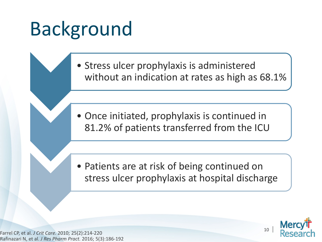Stress ulcer prophylaxis is administered without an indication at rates as high as 68.1%

• Once initiated, prophylaxis is continued in 81.2% of patients transferred from the ICU

• Patients are at risk of being continued on stress ulcer prophylaxis at hospital discharge

Farrel CP, et al. *J Crit Care.* 2010; 25(2):214-220 Rafinazari N, et al. *J Res Pharm Pract.* 2016; 5(3):186-192

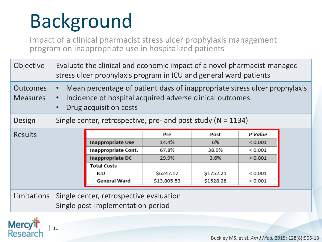| <sup>11</sup>

Mercy<sup>t</sup>r<br>Research

Impact of a clinical pharmacist stress ulcer prophylaxis management program on inappropriate use in hospitalized patients

| Objective                          | Evaluate the clinical and economic impact of a novel pharmacist-managed<br>stress ulcer prophylaxis program in ICU and general ward patients                    |                          |             |           |               |  |  |  |
|------------------------------------|-----------------------------------------------------------------------------------------------------------------------------------------------------------------|--------------------------|-------------|-----------|---------------|--|--|--|
| <b>Outcomes</b><br><b>Measures</b> | Mean percentage of patient days of inappropriate stress ulcer prophylaxis<br>Incidence of hospital acquired adverse clinical outcomes<br>Drug acquisition costs |                          |             |           |               |  |  |  |
| Design                             | Single center, retrospective, pre- and post study ( $N = 1134$ )                                                                                                |                          |             |           |               |  |  |  |
| <b>Results</b>                     |                                                                                                                                                                 |                          | Pre         | Post      | P Value       |  |  |  |
|                                    |                                                                                                                                                                 | <b>Inappropriate Use</b> | 14.4%       | 6%        | < 0.001       |  |  |  |
|                                    |                                                                                                                                                                 | Inappropriate Cont.      | 67.8%       | 38.9%     | ${}< 0.001$   |  |  |  |
|                                    |                                                                                                                                                                 | Inappropriate DC         | 29.9%       | 3.6%      | < 0.001       |  |  |  |
|                                    |                                                                                                                                                                 | <b>Total Costs</b>       |             |           |               |  |  |  |
|                                    |                                                                                                                                                                 | ICU                      | \$6247.17   | \$1752.21 | ${}< 0.001$   |  |  |  |
|                                    |                                                                                                                                                                 | <b>General Ward</b>      | \$13,805.53 | \$1528.28 | ${}_{<0.001}$ |  |  |  |
| Limitations                        | Single center, retrospective evaluation<br>Single post-implementation period                                                                                    |                          |             |           |               |  |  |  |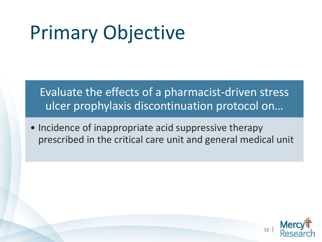# Primary Objective

#### Evaluate the effects of a pharmacist-driven stress ulcer prophylaxis discontinuation protocol on…

• Incidence of inappropriate acid suppressive therapy prescribed in the critical care unit and general medical unit

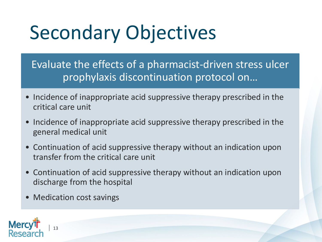## Secondary Objectives

Evaluate the effects of a pharmacist-driven stress ulcer prophylaxis discontinuation protocol on…

- Incidence of inappropriate acid suppressive therapy prescribed in the critical care unit
- Incidence of inappropriate acid suppressive therapy prescribed in the general medical unit
- Continuation of acid suppressive therapy without an indication upon transfer from the critical care unit
- Continuation of acid suppressive therapy without an indication upon discharge from the hospital
- Medication cost savings

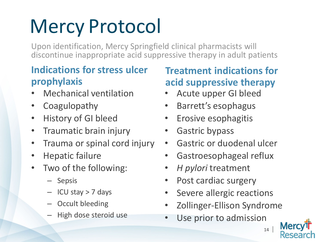# Mercy Protocol

Upon identification, Mercy Springfield clinical pharmacists will discontinue inappropriate acid suppressive therapy in adult patients

#### **Indications for stress ulcer prophylaxis**

- Mechanical ventilation
- Coagulopathy
- History of GI bleed
- Traumatic brain injury
- Trauma or spinal cord injury
- Hepatic failure
- Two of the following:
	- Sepsis
	- ICU stay > 7 days
	- Occult bleeding
	- High dose steroid use

#### **Treatment indications for acid suppressive therapy**

- Acute upper GI bleed
- Barrett's esophagus
- Erosive esophagitis
- Gastric bypass
- Gastric or duodenal ulcer
- Gastroesophageal reflux
- *H pylori* treatment
- Post cardiac surgery
- Severe allergic reactions
- Zollinger-Ellison Syndrome
- Use prior to admission

Mero

<sup>14</sup> |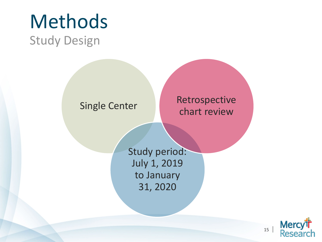

#### Single Center

#### Retrospective chart review

Study period: July 1, 2019 to January 31, 2020

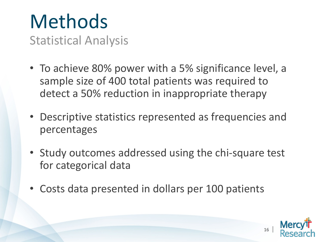# Methods

Statistical Analysis

- To achieve 80% power with a 5% significance level, a sample size of 400 total patients was required to detect a 50% reduction in inappropriate therapy
- Descriptive statistics represented as frequencies and percentages
- Study outcomes addressed using the chi-square test for categorical data
- Costs data presented in dollars per 100 patients

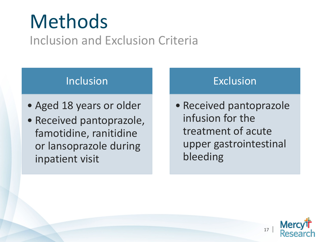### Methods Inclusion and Exclusion Criteria

#### Inclusion

- Aged 18 years or older
- Received pantoprazole, famotidine, ranitidine or lansoprazole during inpatient visit

#### Exclusion

• Received pantoprazole infusion for the treatment of acute upper gastrointestinal bleeding

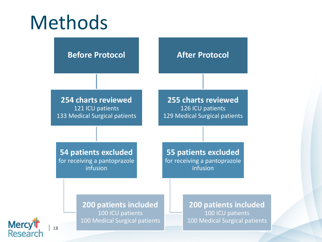### Methods



Mercy<sup>t</sup>r<br>Researc | <sup>18</sup>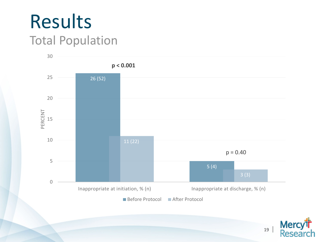### Results Total Population



Mercy<sup>t</sup>r<br>Research <sup>19</sup> |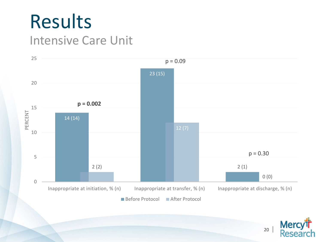### Results Intensive Care Unit



Mercy<sup>th</sup><br>Research <sup>20</sup> |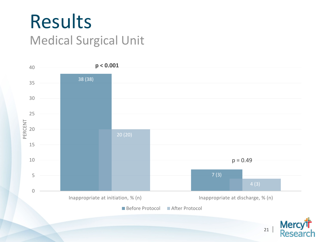



<sup>21</sup> |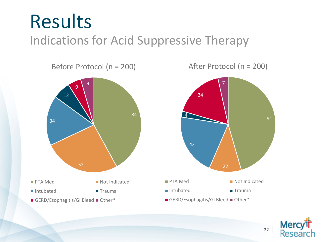## Results

Indications for Acid Suppressive Therapy

Before Protocol (n = 200)



After Protocol (n = 200)

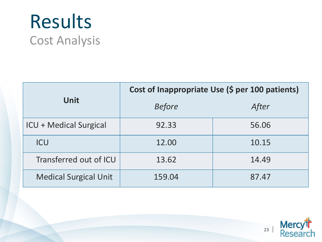### Results Cost Analysis

|                               | Cost of Inappropriate Use (\$ per 100 patients) |       |  |  |
|-------------------------------|-------------------------------------------------|-------|--|--|
| <b>Unit</b>                   | <b>Before</b>                                   | After |  |  |
| <b>ICU + Medical Surgical</b> | 92.33                                           | 56.06 |  |  |
| <b>ICU</b>                    | 12.00                                           | 10.15 |  |  |
| Transferred out of ICU        | 13.62                                           | 14.49 |  |  |
| <b>Medical Surgical Unit</b>  | 159.04                                          | 87.47 |  |  |

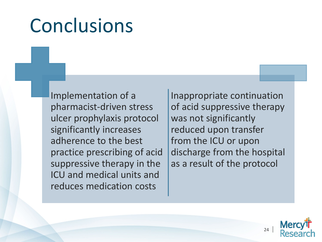## Conclusions

Implementation of a pharmacist-driven stress ulcer prophylaxis protocol significantly increases adherence to the best practice prescribing of acid suppressive therapy in the ICU and medical units and reduces medication costs

Inappropriate continuation of acid suppressive therapy was not significantly reduced upon transfer from the ICU or upon discharge from the hospital as a result of the protocol

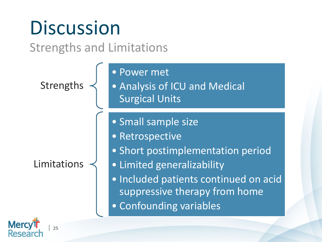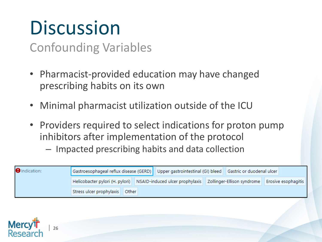## **Discussion**

| <sup>26</sup>

Merc

Confounding Variables

- Pharmacist-provided education may have changed prescribing habits on its own
- Minimal pharmacist utilization outside of the ICU
- Providers required to select indications for proton pump inhibitors after implementation of the protocol
	- Impacted prescribing habits and data collection

| <b>O</b> Indication: |                                          | Gastroesophageal reflux disease (GERD) Upper gastrointestinal (GI) bleed Gastric or duodenal ulcer |  |  |  |                            |
|----------------------|------------------------------------------|----------------------------------------------------------------------------------------------------|--|--|--|----------------------------|
|                      |                                          | Helicobacter pylori (H. pylori) NSAID-induced ulcer prophylaxis   Zollinger-Ellison syndrome       |  |  |  | <b>Erosive esophagitis</b> |
|                      | Stress ulcer prophylaxis<br><b>Other</b> |                                                                                                    |  |  |  |                            |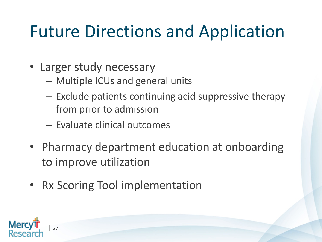### Future Directions and Application

- Larger study necessary
	- Multiple ICUs and general units
	- Exclude patients continuing acid suppressive therapy from prior to admission
	- Evaluate clinical outcomes
- Pharmacy department education at onboarding to improve utilization
- Rx Scoring Tool implementation

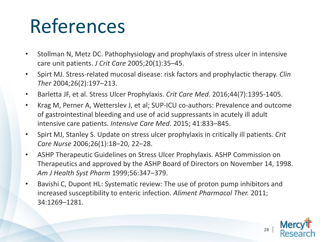## References

- Stollman N, Metz DC. Pathophysiology and prophylaxis of stress ulcer in intensive care unit patients. *J Crit Care* 2005;20(1):35–45.
- Spirt MJ. Stress-related mucosal disease: risk factors and prophylactic therapy. *Clin Ther* 2004;26(2):197–213.
- Barletta JF, et al. Stress Ulcer Prophylaxis. *Crit Care Med.* 2016;44(7):1395-1405.
- Krag M, Perner A, Wetterslev J, et al; SUP-ICU co-authors: Prevalence and outcome of gastrointestinal bleeding and use of acid suppressants in acutely ill adult intensive care patients. *Intensive Care Med*. 2015; 41:833–845.
- Spirt MJ, Stanley S. Update on stress ulcer prophylaxis in critically ill patients. *Crit Care Nurse* 2006;26(1):18–20, 22–28.
- ASHP Therapeutic Guidelines on Stress Ulcer Prophylaxis. ASHP Commission on Therapeutics and approved by the ASHP Board of Directors on November 14, 1998. *Am J Health Syst Pharm* 1999;56:347–379.
- Bavishi C, Dupont HL: Systematic review: The use of proton pump inhibitors and increased susceptibility to enteric infection. *Aliment Pharmacol Ther.* 2011; 34:1269–1281.